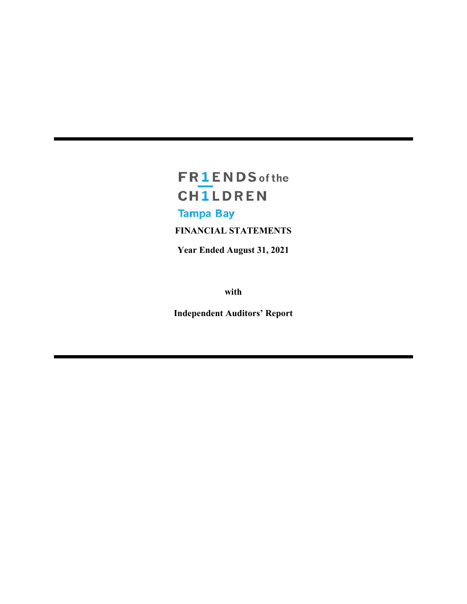# **FR1ENDS** of the **CH1LDREN Tampa Bay**

**FINANCIAL STATEMENTS**

**Year Ended August 31, 2021**

**with**

**Independent Auditors' Report**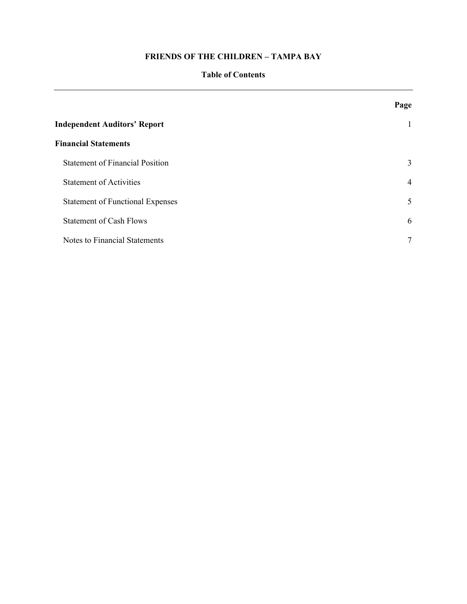#### **Table of Contents**

|                                         | Page         |
|-----------------------------------------|--------------|
| <b>Independent Auditors' Report</b>     | $\mathbf{1}$ |
| <b>Financial Statements</b>             |              |
| <b>Statement of Financial Position</b>  | 3            |
| <b>Statement of Activities</b>          | 4            |
| <b>Statement of Functional Expenses</b> | 5            |
| <b>Statement of Cash Flows</b>          | 6            |
| Notes to Financial Statements           | $\tau$       |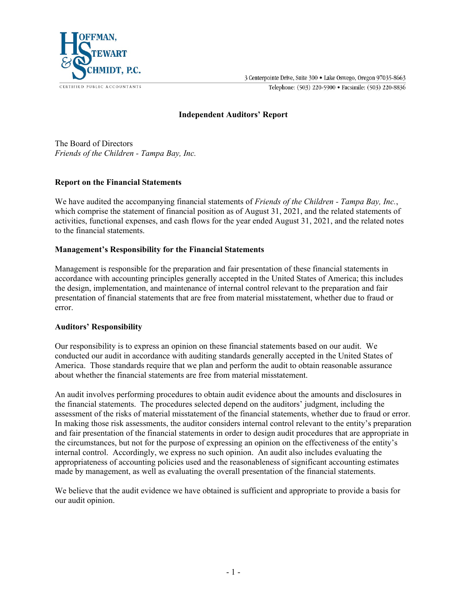

3 Centerpointe Drive, Suite 300 · Lake Oswego, Oregon 97035-8663 Telephone: (503) 220-5900 · Facsimile: (503) 220-8836

#### **Independent Auditors' Report**

The Board of Directors *Friends of the Children - Tampa Bay, Inc.*

#### **Report on the Financial Statements**

We have audited the accompanying financial statements of *Friends of the Children - Tampa Bay, Inc.*, which comprise the statement of financial position as of August 31, 2021, and the related statements of activities, functional expenses, and cash flows for the year ended August 31, 2021, and the related notes to the financial statements.

#### **Management's Responsibility for the Financial Statements**

Management is responsible for the preparation and fair presentation of these financial statements in accordance with accounting principles generally accepted in the United States of America; this includes the design, implementation, and maintenance of internal control relevant to the preparation and fair presentation of financial statements that are free from material misstatement, whether due to fraud or error.

#### **Auditors' Responsibility**

Our responsibility is to express an opinion on these financial statements based on our audit. We conducted our audit in accordance with auditing standards generally accepted in the United States of America. Those standards require that we plan and perform the audit to obtain reasonable assurance about whether the financial statements are free from material misstatement.

An audit involves performing procedures to obtain audit evidence about the amounts and disclosures in the financial statements. The procedures selected depend on the auditors' judgment, including the assessment of the risks of material misstatement of the financial statements, whether due to fraud or error. In making those risk assessments, the auditor considers internal control relevant to the entity's preparation and fair presentation of the financial statements in order to design audit procedures that are appropriate in the circumstances, but not for the purpose of expressing an opinion on the effectiveness of the entity's internal control. Accordingly, we express no such opinion. An audit also includes evaluating the appropriateness of accounting policies used and the reasonableness of significant accounting estimates made by management, as well as evaluating the overall presentation of the financial statements.

We believe that the audit evidence we have obtained is sufficient and appropriate to provide a basis for our audit opinion.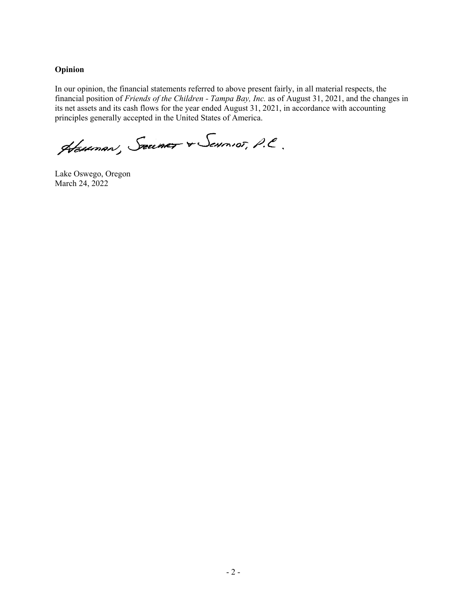### **Opinion**

In our opinion, the financial statements referred to above present fairly, in all material respects, the financial position of *Friends of the Children - Tampa Bay, Inc.* as of August 31, 2021, and the changes in its net assets and its cash flows for the year ended August 31, 2021, in accordance with accounting principles generally accepted in the United States of America.

Houman, Security & Sevenior, P.C.

Lake Oswego, Oregon March 24, 2022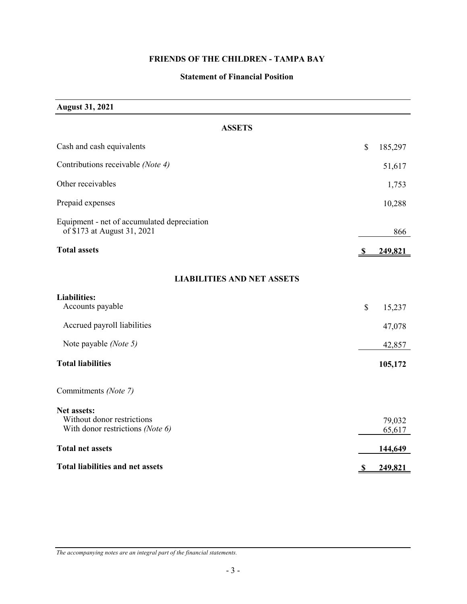## **Statement of Financial Position**

**August 31, 2021**

| <b>ASSETS</b>                                                                 |               |                  |
|-------------------------------------------------------------------------------|---------------|------------------|
| Cash and cash equivalents                                                     | $\mathsf{\$}$ | 185,297          |
| Contributions receivable (Note 4)                                             |               | 51,617           |
| Other receivables                                                             |               | 1,753            |
| Prepaid expenses                                                              |               | 10,288           |
| Equipment - net of accumulated depreciation<br>of \$173 at August 31, 2021    |               | 866              |
| <b>Total assets</b>                                                           | S.            | 249,821          |
| <b>LIABILITIES AND NET ASSETS</b>                                             |               |                  |
| <b>Liabilities:</b><br>Accounts payable                                       | \$            | 15,237           |
| Accrued payroll liabilities                                                   |               | 47,078           |
| Note payable (Note 5)                                                         |               | 42,857           |
| <b>Total liabilities</b>                                                      |               | 105,172          |
| Commitments (Note 7)                                                          |               |                  |
| Net assets:<br>Without donor restrictions<br>With donor restrictions (Note 6) |               | 79,032<br>65,617 |
| <b>Total net assets</b>                                                       |               | 144,649          |
| <b>Total liabilities and net assets</b>                                       | $\mathbf{v}$  | 249,821          |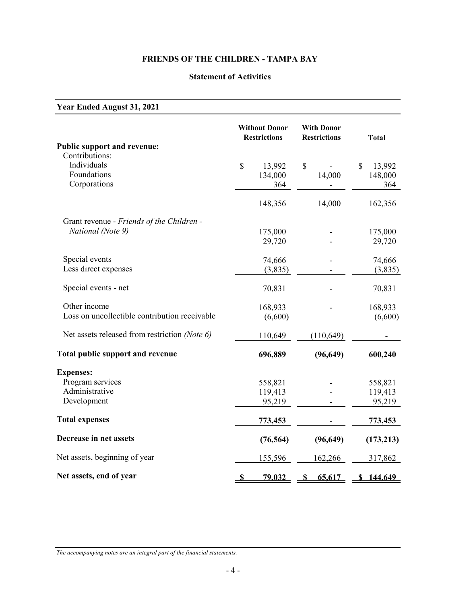#### **Statement of Activities**

# **Year Ended August 31, 2021 Without Donor With Donor Restrictions Restrictions Total Public support and revenue:** Contributions:<br>Individuals Individuals \$ 13,992 \$ - \$ 13,992 Foundations 134,000 148,000 148,000 Corporations 364 - 364 148,356 14,000 162,356 Grant revenue - *Friends of the Children - National (Note 9)* 175,000 - 175,000 29,720 - 29,720 Special events 74,666 - 74,666 Less direct expenses  $(3,835)$  (3,835) Special events - net 70,831 - 70,831 Other income 168,933 - 168,933 Loss on uncollectible contribution receivable  $(6,600)$  (6,600) (6,600) Net assets released from restriction *(Note 6)* 110,649 (110,649) -Total public support and revenue 696,889 (96,649) 600,240 **Expenses:** Program services 558,821 - 558,821 Administrative 119,413 - 119,413 Development 95,219 - 95,219 **Total expenses 773,453 - 773,453 Decrease in net assets** (76,564) (96,649) (173,213) Net assets, beginning of year 155,596 162,266 317,862 **Net assets, end of year \$** 79,032 **\$** 65,617 **\$ 144,649**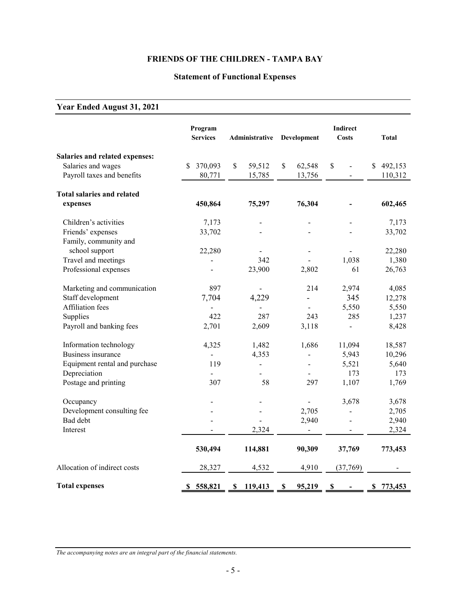# **Statement of Functional Expenses**

# **Year Ended August 31, 2021**

|                                   | Program<br><b>Services</b> | Administrative | Development                         | <b>Indirect</b><br><b>Costs</b> | <b>Total</b>  |
|-----------------------------------|----------------------------|----------------|-------------------------------------|---------------------------------|---------------|
| Salaries and related expenses:    |                            |                |                                     |                                 |               |
| Salaries and wages                | 370,093<br>\$              | \$<br>59,512   | $\mathbb{S}$<br>62,548              | \$<br>$\overline{a}$            | 492,153<br>\$ |
| Payroll taxes and benefits        | 80,771                     | 15,785         | 13,756                              |                                 | 110,312       |
| <b>Total salaries and related</b> |                            |                |                                     |                                 |               |
| expenses                          | 450,864                    | 75,297         | 76,304                              |                                 | 602,465       |
| Children's activities             | 7,173                      |                |                                     |                                 | 7,173         |
| Friends' expenses                 | 33,702                     |                |                                     |                                 | 33,702        |
| Family, community and             |                            |                |                                     |                                 |               |
| school support                    | 22,280                     |                |                                     |                                 | 22,280        |
| Travel and meetings               |                            | 342            |                                     | 1,038                           | 1,380         |
| Professional expenses             |                            | 23,900         | 2,802                               | 61                              | 26,763        |
| Marketing and communication       | 897                        | $\overline{a}$ | 214                                 | 2,974                           | 4,085         |
| Staff development                 | 7,704                      | 4,229          | $\overline{a}$                      | 345                             | 12,278        |
| <b>Affiliation</b> fees           | $\frac{1}{2}$              |                | $\overline{\phantom{0}}$            | 5,550                           | 5,550         |
| Supplies                          | 422                        | 287            | 243                                 | 285                             | 1,237         |
| Payroll and banking fees          | 2,701                      | 2,609          | 3,118                               | $\overline{a}$                  | 8,428         |
| Information technology            | 4,325                      | 1,482          | 1,686                               | 11,094                          | 18,587        |
| <b>Business insurance</b>         |                            | 4,353          |                                     | 5,943                           | 10,296        |
| Equipment rental and purchase     | 119                        | -              |                                     | 5,521                           | 5,640         |
| Depreciation                      |                            |                |                                     | 173                             | 173           |
| Postage and printing              | 307                        | 58             | 297                                 | 1,107                           | 1,769         |
| Occupancy                         |                            |                |                                     | 3,678                           | 3,678         |
| Development consulting fee        |                            |                | 2,705                               |                                 | 2,705         |
| Bad debt                          |                            |                | 2,940                               |                                 | 2,940         |
| Interest                          |                            | 2,324          |                                     |                                 | 2,324         |
|                                   | 530,494                    | 114,881        | 90,309                              | 37,769                          | 773,453       |
| Allocation of indirect costs      | 28,327                     | 4,532          | 4,910                               | (37,769)                        |               |
| <b>Total expenses</b>             | 558,821<br>S               | 119,413<br>S   | $\boldsymbol{\mathsf{S}}$<br>95,219 | $\boldsymbol{\mathsf{S}}$       | 773,453<br>\$ |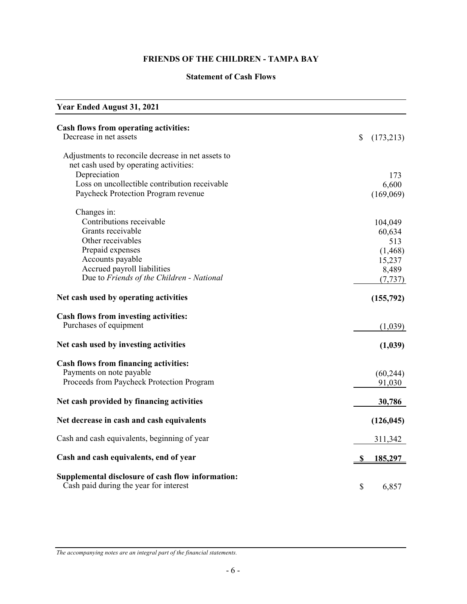## **Statement of Cash Flows**

| <b>Year Ended August 31, 2021</b>                                                           |                 |
|---------------------------------------------------------------------------------------------|-----------------|
| Cash flows from operating activities:<br>Decrease in net assets                             | \$<br>(173,213) |
| Adjustments to reconcile decrease in net assets to                                          |                 |
| net cash used by operating activities:                                                      |                 |
| Depreciation                                                                                | 173             |
| Loss on uncollectible contribution receivable                                               | 6,600           |
| Paycheck Protection Program revenue                                                         | (169,069)       |
| Changes in:                                                                                 |                 |
| Contributions receivable                                                                    | 104,049         |
| Grants receivable                                                                           | 60,634          |
| Other receivables                                                                           | 513             |
| Prepaid expenses                                                                            | (1, 468)        |
| Accounts payable                                                                            | 15,237          |
| Accrued payroll liabilities                                                                 | 8,489           |
| Due to Friends of the Children - National                                                   | (7, 737)        |
| Net cash used by operating activities                                                       | (155,792)       |
| Cash flows from investing activities:                                                       |                 |
| Purchases of equipment                                                                      | (1,039)         |
| Net cash used by investing activities                                                       | (1,039)         |
| <b>Cash flows from financing activities:</b>                                                |                 |
| Payments on note payable                                                                    | (60, 244)       |
| Proceeds from Paycheck Protection Program                                                   | 91,030          |
| Net cash provided by financing activities                                                   | 30,786          |
| Net decrease in cash and cash equivalents                                                   | (126, 045)      |
| Cash and cash equivalents, beginning of year                                                | 311,342         |
| Cash and cash equivalents, end of year                                                      | <u>185,297</u>  |
| Supplemental disclosure of cash flow information:<br>Cash paid during the year for interest | \$<br>6,857     |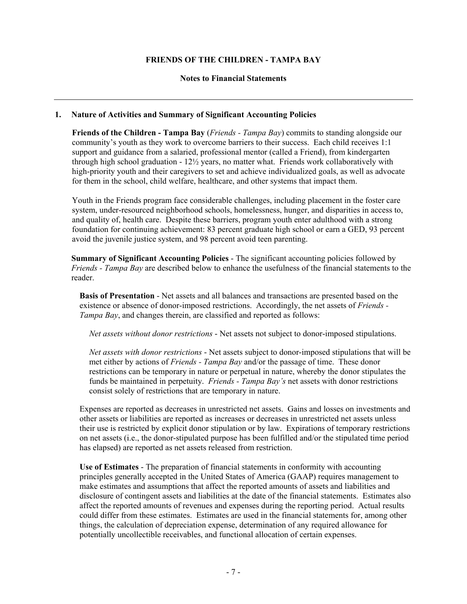#### **Notes to Financial Statements**

#### **1. Nature of Activities and Summary of Significant Accounting Policies**

**Friends of the Children - Tampa Bay** (*Friends - Tampa Bay*) commits to standing alongside our community's youth as they work to overcome barriers to their success. Each child receives 1:1 support and guidance from a salaried, professional mentor (called a Friend), from kindergarten through high school graduation -  $12\frac{1}{2}$  years, no matter what. Friends work collaboratively with high-priority youth and their caregivers to set and achieve individualized goals, as well as advocate for them in the school, child welfare, healthcare, and other systems that impact them.

Youth in the Friends program face considerable challenges, including placement in the foster care system, under-resourced neighborhood schools, homelessness, hunger, and disparities in access to, and quality of, health care. Despite these barriers, program youth enter adulthood with a strong foundation for continuing achievement: 83 percent graduate high school or earn a GED, 93 percent avoid the juvenile justice system, and 98 percent avoid teen parenting.

**Summary of Significant Accounting Policies** - The significant accounting policies followed by *Friends - Tampa Bay* are described below to enhance the usefulness of the financial statements to the reader.

**Basis of Presentation** - Net assets and all balances and transactions are presented based on the existence or absence of donor-imposed restrictions. Accordingly, the net assets of *Friends - Tampa Bay*, and changes therein, are classified and reported as follows:

*Net assets without donor restrictions* - Net assets not subject to donor-imposed stipulations.

*Net assets with donor restrictions* - Net assets subject to donor-imposed stipulations that will be met either by actions of *Friends - Tampa Bay* and/or the passage of time. These donor restrictions can be temporary in nature or perpetual in nature, whereby the donor stipulates the funds be maintained in perpetuity. *Friends - Tampa Bay's* net assets with donor restrictions consist solely of restrictions that are temporary in nature.

Expenses are reported as decreases in unrestricted net assets. Gains and losses on investments and other assets or liabilities are reported as increases or decreases in unrestricted net assets unless their use is restricted by explicit donor stipulation or by law. Expirations of temporary restrictions on net assets (i.e., the donor-stipulated purpose has been fulfilled and/or the stipulated time period has elapsed) are reported as net assets released from restriction.

**Use of Estimates** - The preparation of financial statements in conformity with accounting principles generally accepted in the United States of America (GAAP) requires management to make estimates and assumptions that affect the reported amounts of assets and liabilities and disclosure of contingent assets and liabilities at the date of the financial statements. Estimates also affect the reported amounts of revenues and expenses during the reporting period. Actual results could differ from these estimates. Estimates are used in the financial statements for, among other things, the calculation of depreciation expense, determination of any required allowance for potentially uncollectible receivables, and functional allocation of certain expenses.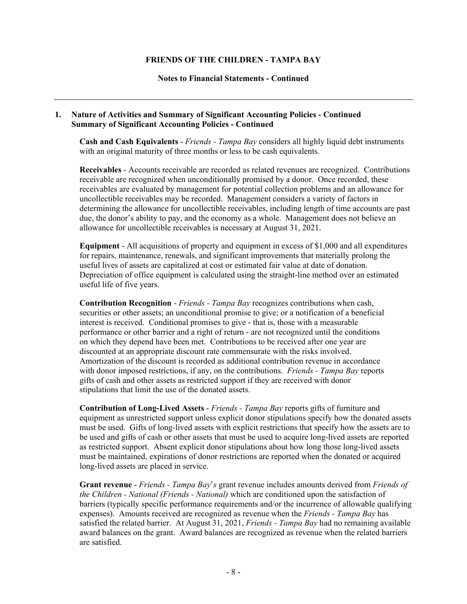#### **Notes to Financial Statements - Continued**

#### **1. Nature of Activities and Summary of Significant Accounting Policies - Continued Summary of Significant Accounting Policies - Continued**

**Cash and Cash Equivalents** - *Friends - Tampa Bay* considers all highly liquid debt instruments with an original maturity of three months or less to be cash equivalents.

**Receivables** - Accounts receivable are recorded as related revenues are recognized. Contributions receivable are recognized when unconditionally promised by a donor. Once recorded, these receivables are evaluated by management for potential collection problems and an allowance for uncollectible receivables may be recorded. Management considers a variety of factors in determining the allowance for uncollectible receivables, including length of time accounts are past due, the donor's ability to pay, and the economy as a whole. Management does not believe an allowance for uncollectible receivables is necessary at August 31, 2021.

**Equipment** - All acquisitions of property and equipment in excess of \$1,000 and all expenditures for repairs, maintenance, renewals, and significant improvements that materially prolong the useful lives of assets are capitalized at cost or estimated fair value at date of donation. Depreciation of office equipment is calculated using the straight-line method over an estimated useful life of five years.

**Contribution Recognition** - *Friends - Tampa Bay* recognizes contributions when cash, securities or other assets; an unconditional promise to give; or a notification of a beneficial interest is received. Conditional promises to give - that is, those with a measurable performance or other barrier and a right of return - are not recognized until the conditions on which they depend have been met. Contributions to be received after one year are discounted at an appropriate discount rate commensurate with the risks involved. Amortization of the discount is recorded as additional contribution revenue in accordance with donor imposed restrictions, if any, on the contributions. *Friends - Tampa Bay* reports gifts of cash and other assets as restricted support if they are received with donor stipulations that limit the use of the donated assets.

**Contribution of Long-Lived Assets** - *Friends - Tampa Bay* reports gifts of furniture and equipment as unrestricted support unless explicit donor stipulations specify how the donated assets must be used. Gifts of long-lived assets with explicit restrictions that specify how the assets are to be used and gifts of cash or other assets that must be used to acquire long-lived assets are reported as restricted support. Absent explicit donor stipulations about how long those long-lived assets must be maintained, expirations of donor restrictions are reported when the donated or acquired long-lived assets are placed in service.

**Grant revenue** - *Friends - Tampa Bay*'*s* grant revenue includes amounts derived from *Friends of the Children - National (Friends - National)* which are conditioned upon the satisfaction of barriers (typically specific performance requirements and/or the incurrence of allowable qualifying expenses). Amounts received are recognized as revenue when the *Friends - Tampa Bay* has satisfied the related barrier. At August 31, 2021, *Friends - Tampa Bay* had no remaining available award balances on the grant. Award balances are recognized as revenue when the related barriers are satisfied.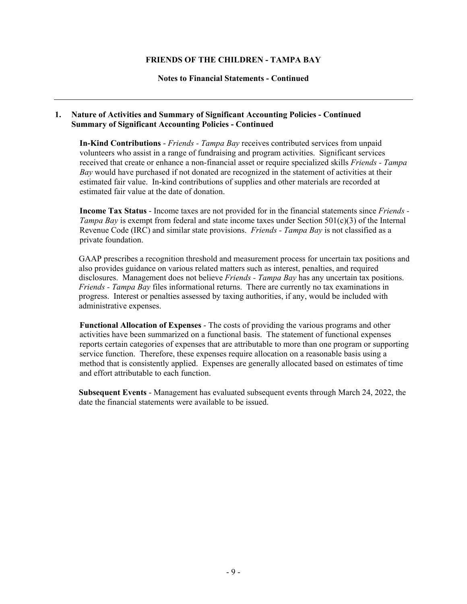#### **Notes to Financial Statements - Continued**

#### **1. Nature of Activities and Summary of Significant Accounting Policies - Continued Summary of Significant Accounting Policies - Continued**

**In-Kind Contributions** - *Friends - Tampa Bay* receives contributed services from unpaid volunteers who assist in a range of fundraising and program activities. Significant services received that create or enhance a non-financial asset or require specialized skills *Friends - Tampa Bay* would have purchased if not donated are recognized in the statement of activities at their estimated fair value. In-kind contributions of supplies and other materials are recorded at estimated fair value at the date of donation.

**Income Tax Status** - Income taxes are not provided for in the financial statements since *Friends - Tampa Bay* is exempt from federal and state income taxes under Section 501(c)(3) of the Internal Revenue Code (IRC) and similar state provisions. *Friends - Tampa Bay* is not classified as a private foundation.

GAAP prescribes a recognition threshold and measurement process for uncertain tax positions and also provides guidance on various related matters such as interest, penalties, and required disclosures. Management does not believe *Friends - Tampa Bay* has any uncertain tax positions. *Friends - Tampa Bay* files informational returns. There are currently no tax examinations in progress. Interest or penalties assessed by taxing authorities, if any, would be included with administrative expenses.

**Functional Allocation of Expenses** - The costs of providing the various programs and other activities have been summarized on a functional basis. The statement of functional expenses reports certain categories of expenses that are attributable to more than one program or supporting service function. Therefore, these expenses require allocation on a reasonable basis using a method that is consistently applied. Expenses are generally allocated based on estimates of time and effort attributable to each function.

**Subsequent Events** - Management has evaluated subsequent events through March 24, 2022, the date the financial statements were available to be issued.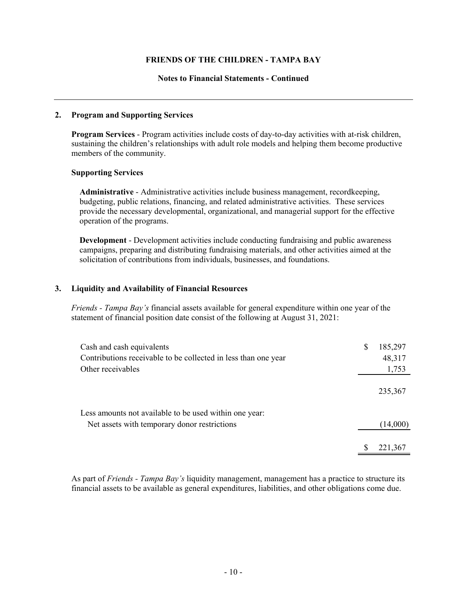#### **Notes to Financial Statements - Continued**

#### **2. Program and Supporting Services**

**Program Services** - Program activities include costs of day-to-day activities with at-risk children, sustaining the children's relationships with adult role models and helping them become productive members of the community.

#### **Supporting Services**

**Administrative** - Administrative activities include business management, recordkeeping, budgeting, public relations, financing, and related administrative activities. These services provide the necessary developmental, organizational, and managerial support for the effective operation of the programs.

**Development** - Development activities include conducting fundraising and public awareness campaigns, preparing and distributing fundraising materials, and other activities aimed at the solicitation of contributions from individuals, businesses, and foundations.

#### **3. Liquidity and Availability of Financial Resources**

*Friends - Tampa Bay's* financial assets available for general expenditure within one year of the statement of financial position date consist of the following at August 31, 2021:

| Cash and cash equivalents                                      | \$<br>185,297 |
|----------------------------------------------------------------|---------------|
| Contributions receivable to be collected in less than one year | 48,317        |
| Other receivables                                              | 1,753         |
|                                                                | 235,367       |
| Less amounts not available to be used within one year:         |               |
| Net assets with temporary donor restrictions                   | (14,000)      |
|                                                                |               |
|                                                                | 221,367       |

As part of *Friends - Tampa Bay's* liquidity management, management has a practice to structure its financial assets to be available as general expenditures, liabilities, and other obligations come due.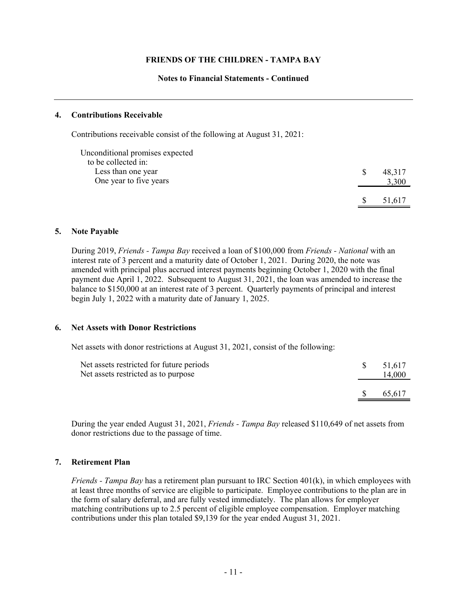#### **Notes to Financial Statements - Continued**

#### **4. Contributions Receivable**

Contributions receivable consist of the following at August 31, 2021:

| Unconditional promises expected |          |        |
|---------------------------------|----------|--------|
| to be collected in:             |          |        |
| Less than one year              |          | 48,317 |
| One year to five years          |          | 3,300  |
|                                 |          |        |
|                                 | <b>S</b> | 51.617 |

#### **5. Note Payable**

During 2019, *Friends - Tampa Bay* received a loan of \$100,000 from *Friends - National* with an interest rate of 3 percent and a maturity date of October 1, 2021. During 2020, the note was amended with principal plus accrued interest payments beginning October 1, 2020 with the final payment due April 1, 2022. Subsequent to August 31, 2021, the loan was amended to increase the balance to \$150,000 at an interest rate of 3 percent. Quarterly payments of principal and interest begin July 1, 2022 with a maturity date of January 1, 2025.

#### **6. Net Assets with Donor Restrictions**

Net assets with donor restrictions at August 31, 2021, consist of the following:

| Net assets restricted for future periods<br>Net assets restricted as to purpose |    | 51.617<br>14,000 |
|---------------------------------------------------------------------------------|----|------------------|
|                                                                                 | -S | 65.617           |

During the year ended August 31, 2021, *Friends - Tampa Bay* released \$110,649 of net assets from donor restrictions due to the passage of time.

#### **7. Retirement Plan**

*Friends - Tampa Bay* has a retirement plan pursuant to IRC Section 401(k), in which employees with at least three months of service are eligible to participate. Employee contributions to the plan are in the form of salary deferral, and are fully vested immediately. The plan allows for employer matching contributions up to 2.5 percent of eligible employee compensation. Employer matching contributions under this plan totaled \$9,139 for the year ended August 31, 2021.